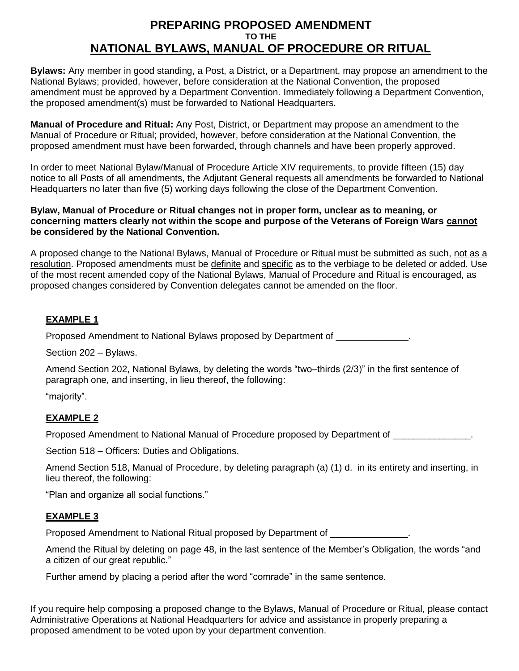## **PREPARING PROPOSED AMENDMENT TO THE NATIONAL BYLAWS, MANUAL OF PROCEDURE OR RITUAL**

**Bylaws:** Any member in good standing, a Post, a District, or a Department, may propose an amendment to the National Bylaws; provided, however, before consideration at the National Convention, the proposed amendment must be approved by a Department Convention. Immediately following a Department Convention, the proposed amendment(s) must be forwarded to National Headquarters.

**Manual of Procedure and Ritual:** Any Post, District, or Department may propose an amendment to the Manual of Procedure or Ritual; provided, however, before consideration at the National Convention, the proposed amendment must have been forwarded, through channels and have been properly approved.

In order to meet National Bylaw/Manual of Procedure Article XIV requirements, to provide fifteen (15) day notice to all Posts of all amendments, the Adjutant General requests all amendments be forwarded to National Headquarters no later than five (5) working days following the close of the Department Convention.

#### **Bylaw, Manual of Procedure or Ritual changes not in proper form, unclear as to meaning, or concerning matters clearly not within the scope and purpose of the Veterans of Foreign Wars cannot be considered by the National Convention.**

A proposed change to the National Bylaws, Manual of Procedure or Ritual must be submitted as such, not as a resolution. Proposed amendments must be definite and specific as to the verbiage to be deleted or added. Use of the most recent amended copy of the National Bylaws, Manual of Procedure and Ritual is encouraged, as proposed changes considered by Convention delegates cannot be amended on the floor.

### **EXAMPLE 1**

Proposed Amendment to National Bylaws proposed by Department of \_\_\_\_\_\_\_\_\_\_\_\_\_\_\_.

Section 202 – Bylaws.

Amend Section 202, National Bylaws, by deleting the words "two–thirds (2/3)" in the first sentence of paragraph one, and inserting, in lieu thereof, the following:

"majority".

#### **EXAMPLE 2**

Proposed Amendment to National Manual of Procedure proposed by Department of \_\_\_\_\_\_\_\_\_\_\_\_\_\_\_.

Section 518 – Officers: Duties and Obligations.

Amend Section 518, Manual of Procedure, by deleting paragraph (a) (1) d. in its entirety and inserting, in lieu thereof, the following:

"Plan and organize all social functions."

#### **EXAMPLE 3**

Proposed Amendment to National Ritual proposed by Department of \_\_\_\_\_\_\_\_\_\_\_\_\_\_\_.

Amend the Ritual by deleting on page 48, in the last sentence of the Member's Obligation, the words "and a citizen of our great republic."

Further amend by placing a period after the word "comrade" in the same sentence.

If you require help composing a proposed change to the Bylaws, Manual of Procedure or Ritual, please contact Administrative Operations at National Headquarters for advice and assistance in properly preparing a proposed amendment to be voted upon by your department convention.